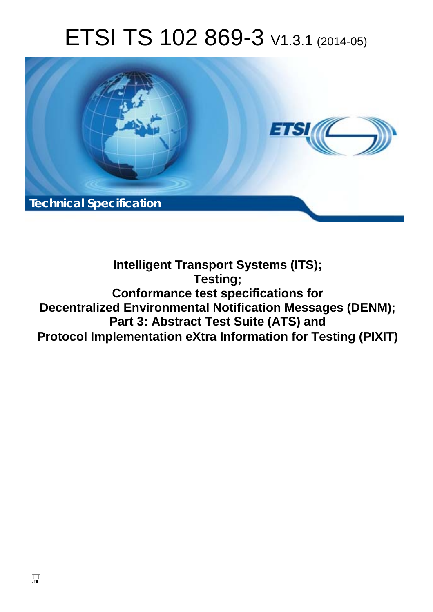# ETSI TS 102 869-3 V1.3.1 (2014-05)



### **Intelligent Transport Systems (ITS); Testing; Conformance test specifications for Decentralized Environmental Notification Messages (DENM); Part 3: Abstract Test Suite (ATS) and Protocol Implementation eXtra Information for Testing (PIXIT)**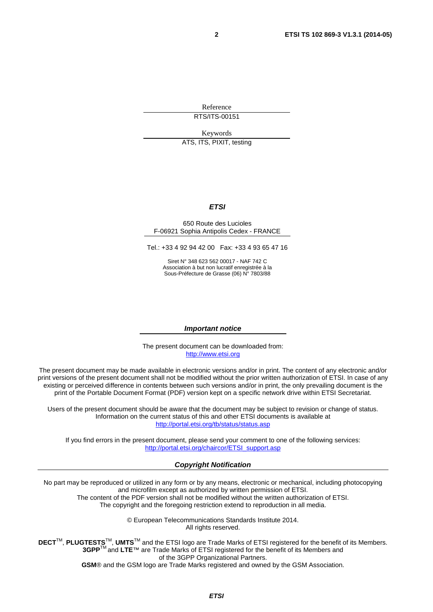Reference RTS/ITS-00151

Keywords

ATS, ITS, PIXIT, testing

#### *ETSI*

#### 650 Route des Lucioles F-06921 Sophia Antipolis Cedex - FRANCE

Tel.: +33 4 92 94 42 00 Fax: +33 4 93 65 47 16

Siret N° 348 623 562 00017 - NAF 742 C Association à but non lucratif enregistrée à la Sous-Préfecture de Grasse (06) N° 7803/88

#### *Important notice*

The present document can be downloaded from: [http://www.etsi.org](http://www.etsi.org/)

The present document may be made available in electronic versions and/or in print. The content of any electronic and/or print versions of the present document shall not be modified without the prior written authorization of ETSI. In case of any existing or perceived difference in contents between such versions and/or in print, the only prevailing document is the print of the Portable Document Format (PDF) version kept on a specific network drive within ETSI Secretariat.

Users of the present document should be aware that the document may be subject to revision or change of status. Information on the current status of this and other ETSI documents is available at <http://portal.etsi.org/tb/status/status.asp>

If you find errors in the present document, please send your comment to one of the following services: [http://portal.etsi.org/chaircor/ETSI\\_support.asp](http://portal.etsi.org/chaircor/ETSI_support.asp)

#### *Copyright Notification*

No part may be reproduced or utilized in any form or by any means, electronic or mechanical, including photocopying and microfilm except as authorized by written permission of ETSI.

The content of the PDF version shall not be modified without the written authorization of ETSI. The copyright and the foregoing restriction extend to reproduction in all media.

> © European Telecommunications Standards Institute 2014. All rights reserved.

**DECT**TM, **PLUGTESTS**TM, **UMTS**TM and the ETSI logo are Trade Marks of ETSI registered for the benefit of its Members. **3GPP**TM and **LTE**™ are Trade Marks of ETSI registered for the benefit of its Members and of the 3GPP Organizational Partners.

**GSM**® and the GSM logo are Trade Marks registered and owned by the GSM Association.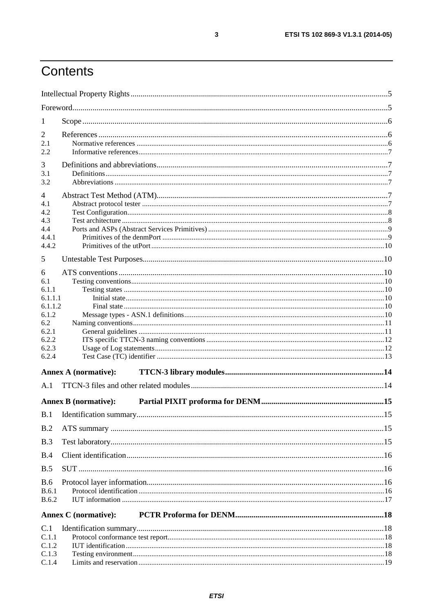# Contents

| 1                  |                             |  |
|--------------------|-----------------------------|--|
| 2<br>2.1           |                             |  |
| 2.2                |                             |  |
| 3                  |                             |  |
| 3.1                |                             |  |
| 3.2                |                             |  |
| $\overline{4}$     |                             |  |
| 4.1<br>4.2         |                             |  |
| 4.3                |                             |  |
| 4.4                |                             |  |
| 4.4.1              |                             |  |
| 4.4.2              |                             |  |
| 5                  |                             |  |
| 6                  |                             |  |
| 6.1                |                             |  |
| 6.1.1              |                             |  |
| 6.1.1.1<br>6.1.1.2 |                             |  |
| 6.1.2              |                             |  |
| 6.2                |                             |  |
| 6.2.1              |                             |  |
| 6.2.2              |                             |  |
| 6.2.3<br>6.2.4     |                             |  |
|                    |                             |  |
|                    | <b>Annex A (normative):</b> |  |
| A.1                |                             |  |
|                    | <b>Annex B</b> (normative): |  |
|                    |                             |  |
| B.2                |                             |  |
| B.3                |                             |  |
| B.4                |                             |  |
| B.5                |                             |  |
| <b>B.6</b>         |                             |  |
| <b>B.6.1</b>       |                             |  |
| <b>B.6.2</b>       |                             |  |
|                    | <b>Annex C</b> (normative): |  |
| C.1                |                             |  |
| C.1.1              |                             |  |
| C.1.2              |                             |  |
| C.1.3<br>C.1.4     |                             |  |
|                    |                             |  |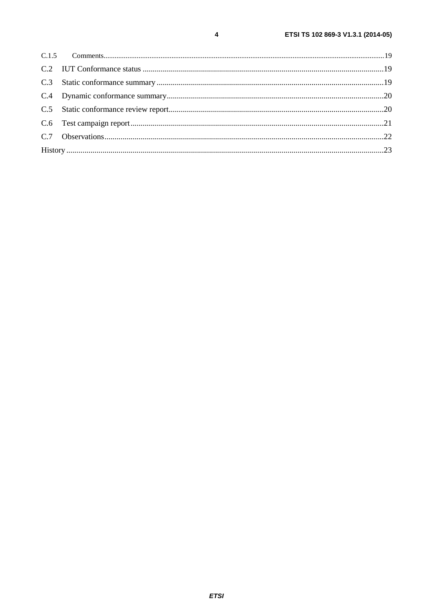$C.7$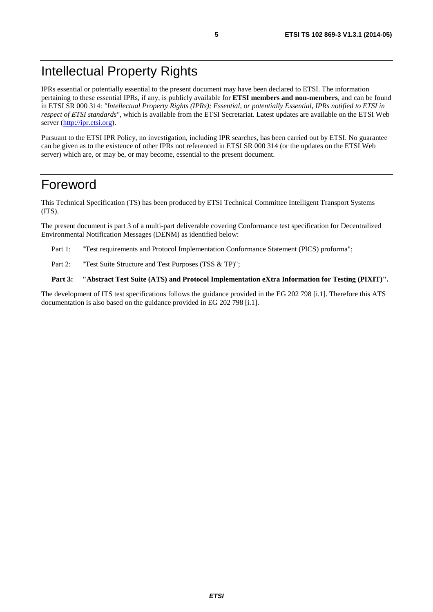### <span id="page-4-0"></span>Intellectual Property Rights

IPRs essential or potentially essential to the present document may have been declared to ETSI. The information pertaining to these essential IPRs, if any, is publicly available for **ETSI members and non-members**, and can be found in ETSI SR 000 314: *"Intellectual Property Rights (IPRs); Essential, or potentially Essential, IPRs notified to ETSI in respect of ETSI standards"*, which is available from the ETSI Secretariat. Latest updates are available on the ETSI Web server ([http://ipr.etsi.org\)](http://webapp.etsi.org/IPR/home.asp).

Pursuant to the ETSI IPR Policy, no investigation, including IPR searches, has been carried out by ETSI. No guarantee can be given as to the existence of other IPRs not referenced in ETSI SR 000 314 (or the updates on the ETSI Web server) which are, or may be, or may become, essential to the present document.

### Foreword

This Technical Specification (TS) has been produced by ETSI Technical Committee Intelligent Transport Systems (ITS).

The present document is part 3 of a multi-part deliverable covering Conformance test specification for Decentralized Environmental Notification Messages (DENM) as identified below:

- Part 1: "Test requirements and Protocol Implementation Conformance Statement (PICS) proforma";
- Part 2: "Test Suite Structure and Test Purposes (TSS & TP)";

#### **Part 3: "Abstract Test Suite (ATS) and Protocol Implementation eXtra Information for Testing (PIXIT)".**

The development of ITS test specifications follows the guidance provided in the EG 202 798 [[i.1\]](#page-6-0). Therefore this ATS documentation is also based on the guidance provided in EG 202 798 [[i.1\]](#page-6-0).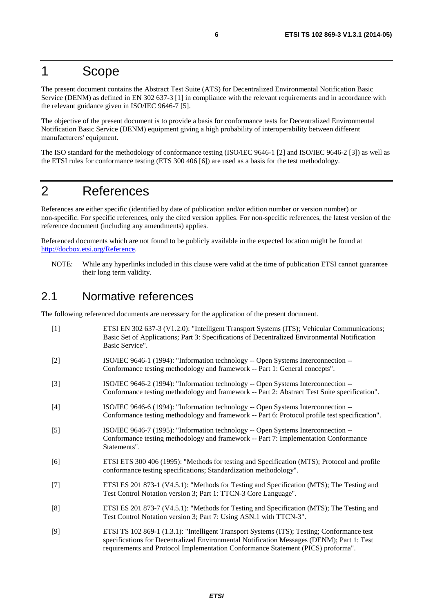### <span id="page-5-0"></span>1 Scope

The present document contains the Abstract Test Suite (ATS) for Decentralized Environmental Notification Basic Service (DENM) as defined in EN 302 637-3 [1] in compliance with the relevant requirements and in accordance with the relevant guidance given in ISO/IEC 9646-7 [5].

The objective of the present document is to provide a basis for conformance tests for Decentralized Environmental Notification Basic Service (DENM) equipment giving a high probability of interoperability between different manufacturers' equipment.

The ISO standard for the methodology of conformance testing (ISO/IEC 9646-1 [2] and ISO/IEC 9646-2 [3]) as well as the ETSI rules for conformance testing (ETS 300 406 [6]) are used as a basis for the test methodology.

### 2 References

References are either specific (identified by date of publication and/or edition number or version number) or non-specific. For specific references, only the cited version applies. For non-specific references, the latest version of the reference document (including any amendments) applies.

Referenced documents which are not found to be publicly available in the expected location might be found at [http://docbox.etsi.org/Reference.](http://docbox.etsi.org/Reference)

NOTE: While any hyperlinks included in this clause were valid at the time of publication ETSI cannot guarantee their long term validity.

### 2.1 Normative references

The following referenced documents are necessary for the application of the present document.

[1] ETSI EN 302 637-3 (V1.2.0): "Intelligent Transport Systems (ITS); Vehicular Communications; Basic Set of Applications; Part 3: Specifications of Decentralized Environmental Notification Basic Service". [2] ISO/IEC 9646-1 (1994): "Information technology -- Open Systems Interconnection -- Conformance testing methodology and framework -- Part 1: General concepts". [3] ISO/IEC 9646-2 (1994): "Information technology -- Open Systems Interconnection -- Conformance testing methodology and framework -- Part 2: Abstract Test Suite specification". [4] ISO/IEC 9646-6 (1994): "Information technology -- Open Systems Interconnection -- Conformance testing methodology and framework -- Part 6: Protocol profile test specification". [5] ISO/IEC 9646-7 (1995): "Information technology -- Open Systems Interconnection -- Conformance testing methodology and framework -- Part 7: Implementation Conformance Statements". [6] ETSI ETS 300 406 (1995): "Methods for testing and Specification (MTS); Protocol and profile conformance testing specifications; Standardization methodology". [7] ETSI ES 201 873-1 (V4.5.1): "Methods for Testing and Specification (MTS); The Testing and Test Control Notation version 3; Part 1: TTCN-3 Core Language". [8] ETSI ES 201 873-7 (V4.5.1): "Methods for Testing and Specification (MTS); The Testing and Test Control Notation version 3; Part 7: Using ASN.1 with TTCN-3". [9] ETSI TS 102 869-1 (1.3.1): "Intelligent Transport Systems (ITS); Testing; Conformance test specifications for Decentralized Environmental Notification Messages (DENM); Part 1: Test

requirements and Protocol Implementation Conformance Statement (PICS) proforma".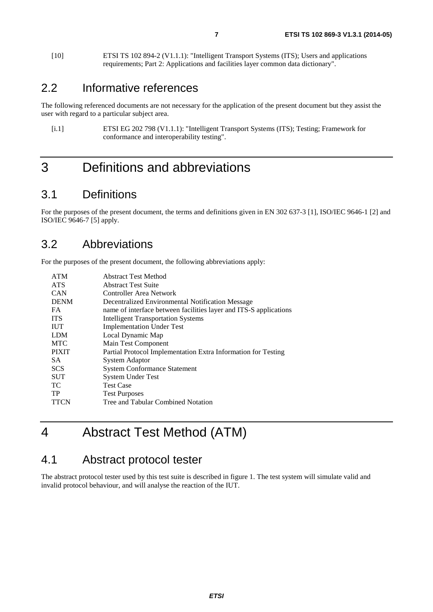<span id="page-6-0"></span>[10] ETSI TS 102 894-2 (V1.1.1): "Intelligent Transport Systems (ITS); Users and applications requirements; Part 2: Applications and facilities layer common data dictionary".

### 2.2 Informative references

The following referenced documents are not necessary for the application of the present document but they assist the user with regard to a particular subject area.

[i.1] ETSI EG 202 798 (V1.1.1): "Intelligent Transport Systems (ITS); Testing; Framework for conformance and interoperability testing".

### 3 Definitions and abbreviations

### 3.1 Definitions

For the purposes of the present document, the terms and definitions given in EN 302 637-3 [[1\]](#page-5-0), ISO/IEC 9646-1 [[2\]](#page-5-0) and ISO/IEC 9646-7 [[5\]](#page-5-0) apply.

### 3.2 Abbreviations

For the purposes of the present document, the following abbreviations apply:

| <b>ATM</b>   | <b>Abstract Test Method</b>                                       |
|--------------|-------------------------------------------------------------------|
| <b>ATS</b>   | <b>Abstract Test Suite</b>                                        |
| <b>CAN</b>   | Controller Area Network                                           |
| <b>DENM</b>  | Decentralized Environmental Notification Message                  |
| <b>FA</b>    | name of interface between facilities layer and ITS-S applications |
| <b>ITS</b>   | <b>Intelligent Transportation Systems</b>                         |
| <b>IUT</b>   | <b>Implementation Under Test</b>                                  |
| <b>LDM</b>   | Local Dynamic Map                                                 |
| <b>MTC</b>   | Main Test Component                                               |
| <b>PIXIT</b> | Partial Protocol Implementation Extra Information for Testing     |
| SA.          | <b>System Adaptor</b>                                             |
| <b>SCS</b>   | <b>System Conformance Statement</b>                               |
| <b>SUT</b>   | <b>System Under Test</b>                                          |
| TС           | <b>Test Case</b>                                                  |
| TP           | <b>Test Purposes</b>                                              |
| <b>TTCN</b>  | Tree and Tabular Combined Notation                                |

# 4 Abstract Test Method (ATM)

### 4.1 Abstract protocol tester

The abstract protocol tester used by this test suite is described in figure [1.](#page-7-0) The test system will simulate valid and invalid protocol behaviour, and will analyse the reaction of the IUT.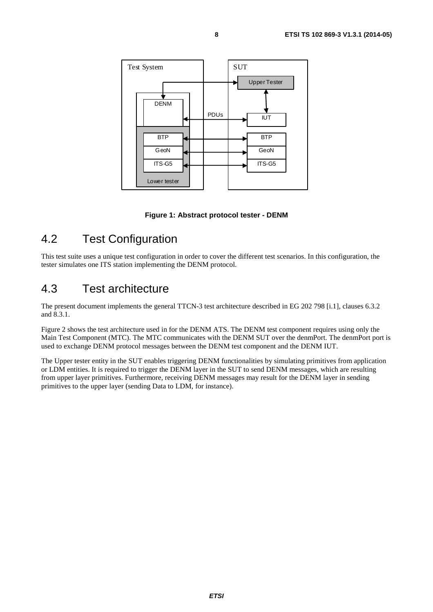<span id="page-7-0"></span>

**Figure 1: Abstract protocol tester - DENM** 

### 4.2 Test Configuration

This test suite uses a unique test configuration in order to cover the different test scenarios. In this configuration, the tester simulates one ITS station implementing the DENM protocol.

### 4.3 Test architecture

The present document implements the general TTCN-3 test architecture described in EG 202 798 [[i.1\]](#page-6-0), clauses 6.3.2 and 8.3.1.

Figure [2](#page-8-0) shows the test architecture used in for the DENM ATS. The DENM test component requires using only the Main Test Component (MTC). The MTC communicates with the DENM SUT over the denmPort. The denmPort port is used to exchange DENM protocol messages between the DENM test component and the DENM IUT.

The Upper tester entity in the SUT enables triggering DENM functionalities by simulating primitives from application or LDM entities. It is required to trigger the DENM layer in the SUT to send DENM messages, which are resulting from upper layer primitives. Furthermore, receiving DENM messages may result for the DENM layer in sending primitives to the upper layer (sending Data to LDM, for instance).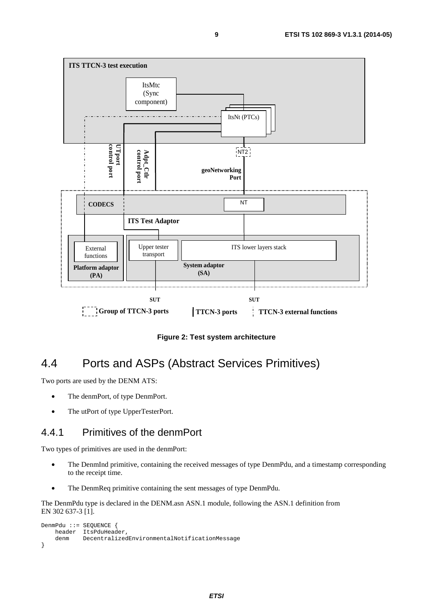<span id="page-8-0"></span>

**Figure 2: Test system architecture** 

### 4.4 Ports and ASPs (Abstract Services Primitives)

Two ports are used by the DENM ATS:

- The denmPort, of type DenmPort.
- The utPort of type UpperTesterPort.

#### 4.4.1 Primitives of the denmPort

Two types of primitives are used in the denmPort:

- The DenmInd primitive, containing the received messages of type DenmPdu, and a timestamp corresponding to the receipt time.
- The DenmReq primitive containing the sent messages of type DenmPdu.

The DenmPdu type is declared in the DENM.asn ASN.1 module, following the ASN.1 definition from EN 302 637-3 [[1\]](#page-5-0).

```
DenmPdu ::= SEQUENCE { 
     header ItsPduHeader, 
     denm DecentralizedEnvironmentalNotificationMessage 
}
```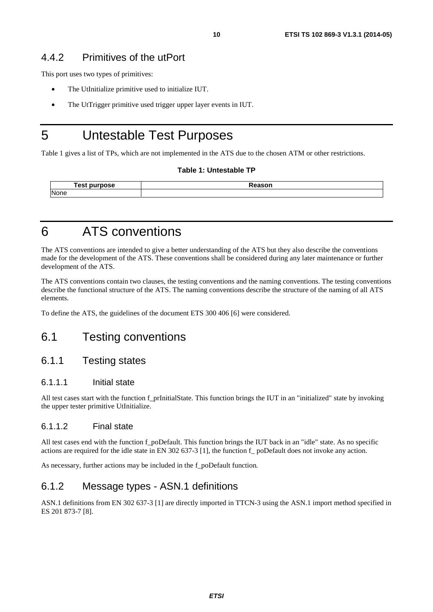#### <span id="page-9-0"></span>4.4.2 Primitives of the utPort

This port uses two types of primitives:

- The UtInitialize primitive used to initialize IUT.
- The UtTrigger primitive used trigger upper layer events in IUT.

### 5 Untestable Test Purposes

Table 1 gives a list of TPs, which are not implemented in the ATS due to the chosen ATM or other restrictions.

#### **Table 1: Untestable TP**

| . es<br>urnaca<br>. . | $-1 - - - - - -$ |
|-----------------------|------------------|
| None                  |                  |

### 6 ATS conventions

The ATS conventions are intended to give a better understanding of the ATS but they also describe the conventions made for the development of the ATS. These conventions shall be considered during any later maintenance or further development of the ATS.

The ATS conventions contain two clauses, the testing conventions and the naming conventions. The testing conventions describe the functional structure of the ATS. The naming conventions describe the structure of the naming of all ATS elements.

To define the ATS, the guidelines of the document ETS 300 406 [[6\]](#page-5-0) were considered.

### 6.1 Testing conventions

#### 6.1.1 Testing states

#### 6.1.1.1 Initial state

All test cases start with the function f\_prInitialState. This function brings the IUT in an "initialized" state by invoking the upper tester primitive UtInitialize.

#### 6.1.1.2 Final state

All test cases end with the function f poDefault. This function brings the IUT back in an "idle" state. As no specific actions are required for the idle state in EN 302 637-3 [[1\]](#page-5-0), the function f\_ poDefault does not invoke any action.

As necessary, further actions may be included in the f\_poDefault function*.*

#### 6.1.2 Message types - ASN.1 definitions

ASN.1 definitions from EN 302 637-3 [[1\]](#page-5-0) are directly imported in TTCN-3 using the ASN.1 import method specified in ES 201 873-7 [[8\]](#page-5-0).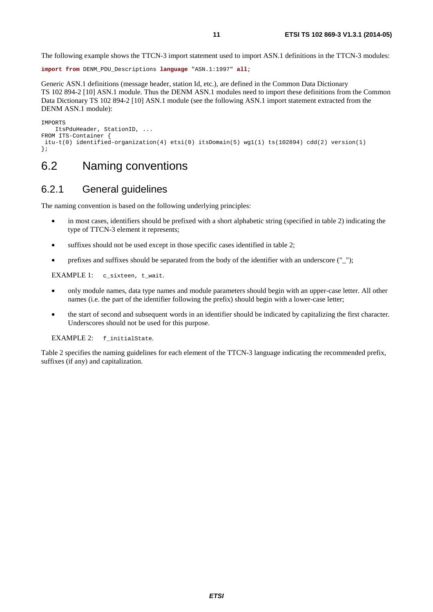<span id="page-10-0"></span>The following example shows the TTCN-3 import statement used to import ASN.1 definitions in the TTCN-3 modules:

**import from** DENM\_PDU\_Descriptions **language** "ASN.1:1997" **all**;

Generic ASN.1 definitions (message header, station Id, etc.), are defined in the Common Data Dictionary TS 102 894-2 [[10\]](#page-6-0) ASN.1 module. Thus the DENM ASN.1 modules need to import these definitions from the Common Data Dictionary TS 102 894-2 [[10\]](#page-6-0) ASN.1 module (see the following ASN.1 import statement extracted from the DENM ASN.1 module):

```
IMPORTS 
    ItsPduHeader, StationID, ... 
FROM ITS-Container { 
  itu-t(0) identified-organization(4) etsi(0) itsDomain(5) wg1(1) ts(102894) cdd(2) version(1) 
};
```
### 6.2 Naming conventions

#### 6.2.1 General guidelines

The naming convention is based on the following underlying principles:

- in most cases, identifiers should be prefixed with a short alphabetic string (specified in table [2\)](#page-11-0) indicating the type of TTCN-3 element it represents;
- suffixes should not be used except in those specific cases identified in table 2;
- prefixes and suffixes should be separated from the body of the identifier with an underscore  $("_$ ");

EXAMPLE 1: c\_sixteen, t\_wait.

- only module names, data type names and module parameters should begin with an upper-case letter. All other names (i.e. the part of the identifier following the prefix) should begin with a lower-case letter;
- the start of second and subsequent words in an identifier should be indicated by capitalizing the first character. Underscores should not be used for this purpose.

EXAMPLE 2: f\_initialState.

Table [2](#page-11-0) specifies the naming guidelines for each element of the TTCN-3 language indicating the recommended prefix, suffixes (if any) and capitalization.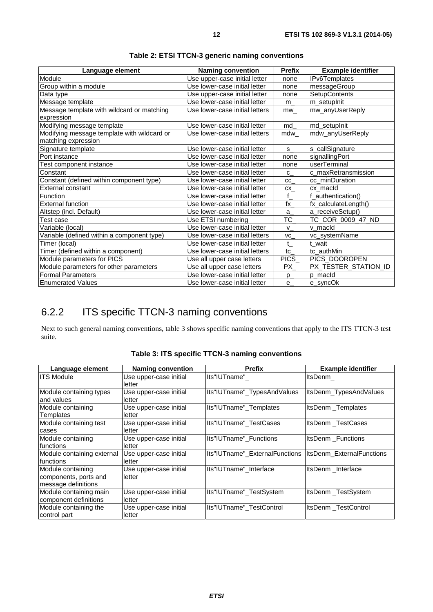<span id="page-11-0"></span>

| Language element                            | <b>Naming convention</b>       | <b>Prefix</b>          | <b>Example identifier</b> |
|---------------------------------------------|--------------------------------|------------------------|---------------------------|
| Module                                      | Use upper-case initial letter  | none                   | IPv6Templates             |
| Group within a module                       | Use lower-case initial letter  | none                   | messageGroup              |
| Data type                                   | Use upper-case initial letter  | none                   | <b>SetupContents</b>      |
| Message template                            | Use lower-case initial letter  | m                      | m_setupInit               |
| Message template with wildcard or matching  | Use lower-case initial letters | mw                     | mw_anyUserReply           |
| expression                                  |                                |                        |                           |
| Modifying message template                  | Use lower-case initial letter  | md                     | md_setupInit              |
| Modifying message template with wildcard or | Use lower-case initial letters | mdw                    | mdw_anyUserReply          |
| matching expression                         |                                |                        |                           |
| Signature template                          | Use lower-case initial letter  | $S_{-}$                | s_callSignature           |
| Port instance                               | Use lower-case initial letter  | none                   | signallingPort            |
| Test component instance                     | Use lower-case initial letter  | none                   | userTerminal              |
| Constant                                    | Use lower-case initial letter  | $C_{-}$                | c_maxRetransmission       |
| Constant (defined within component type)    | Use lower-case initial letter  | cc                     | cc_minDuration            |
| External constant                           | Use lower-case initial letter  | CX                     | cx macld                  |
| Function                                    | Use lower-case initial letter  | f                      | f_authentication()        |
| <b>External function</b>                    | Use lower-case initial letter  | fx                     | fx_calculateLength()      |
| Altstep (incl. Default)                     | Use lower-case initial letter  | a                      | a_receiveSetup()          |
| Test case                                   | Use ETSI numbering             | $\overline{\text{TC}}$ | TC_COR_0009_47_ND         |
| Variable (local)                            | Use lower-case initial letter  | $\mathsf{v}$           | v macld                   |
| Variable (defined within a component type)  | Use lower-case initial letters | VC                     | vc_systemName             |
| Timer (local)                               | Use lower-case initial letter  | t                      | t_wait                    |
| Timer (defined within a component)          | Use lower-case initial letters | tc                     | tc authMin                |
| Module parameters for PICS                  | Use all upper case letters     | PICS_                  | PICS_DOOROPEN             |
| Module parameters for other parameters      | Use all upper case letters     | PX                     | PX_TESTER_STATION_ID      |
| <b>Formal Parameters</b>                    | Use lower-case initial letter  | $p_{-}$                | p_macId                   |
| <b>Enumerated Values</b>                    | Use lower-case initial letter  | e                      | e_syncOk                  |

| Table 2: ETSI TTCN-3 generic naming conventions |  |  |
|-------------------------------------------------|--|--|
|-------------------------------------------------|--|--|

### 6.2.2 ITS specific TTCN-3 naming conventions

Next to such general naming conventions, table 3 shows specific naming conventions that apply to the ITS TTCN-3 test suite.

| Language element           | <b>Naming convention</b> | <b>Prefix</b>                  | <b>Example identifier</b> |
|----------------------------|--------------------------|--------------------------------|---------------------------|
| <b>ITS Module</b>          | Use upper-case initial   | lts"IUTname"                   | ItsDenm                   |
|                            | letter                   |                                |                           |
| Module containing types    | Use upper-case initial   | Its"IUTname"_TypesAndValues    | ItsDenm_TypesAndValues    |
| and values                 | letter                   |                                |                           |
| Module containing          | Use upper-case initial   | Its"IUTname"_Templates         | ItsDenm_Templates         |
| Templates                  | letter                   |                                |                           |
| Module containing test     | Use upper-case initial   | Its"IUTname" TestCases         | ItsDenm TestCases         |
| cases                      | letter                   |                                |                           |
| Module containing          | Use upper-case initial   | Its"IUTname" Functions         | <b>ItsDenm</b> Functions  |
| Ifunctions                 | letter                   |                                |                           |
| Module containing external | Use upper-case initial   | Its"IUTname" ExternalFunctions | ItsDenm ExternalFunctions |
| Ifunctions                 | letter                   |                                |                           |
| Module containing          | Use upper-case initial   | Its"IUTname" Interface         | ItsDenm Interface         |
| components, ports and      | letter                   |                                |                           |
| message definitions        |                          |                                |                           |
| Module containing main     | Use upper-case initial   | Its"IUTname"_TestSystem        | ItsDenm TestSystem        |
| component definitions      | lletter                  |                                |                           |
| Module containing the      | Use upper-case initial   | Its"IUTname" TestControl       | ItsDenm TestControl       |
| control part               | letter                   |                                |                           |

**Table 3: ITS specific TTCN-3 naming conventions**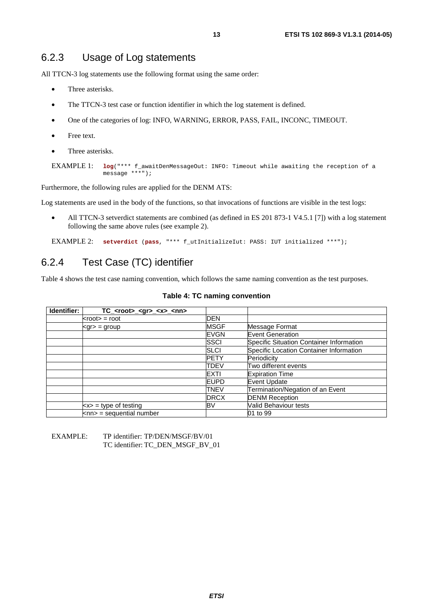#### <span id="page-12-0"></span>6.2.3 Usage of Log statements

All TTCN-3 log statements use the following format using the same order:

- Three asterisks.
- The TTCN-3 test case or function identifier in which the log statement is defined.
- One of the categories of log: INFO, WARNING, ERROR, PASS, FAIL, INCONC, TIMEOUT.
- Free text.
- Three asterisks.

```
EXAMPLE 1: log("*** f_awaitDenMessageOut: INFO: Timeout while awaiting the reception of a 
              message ***");
```
Furthermore, the following rules are applied for the DENM ATS:

Log statements are used in the body of the functions, so that invocations of functions are visible in the test logs:

• All TTCN-3 setverdict statements are combined (as defined in ES 201 873-1 V4.5.1 [[7\]](#page-5-0)) with a log statement following the same above rules (see example 2).

EXAMPLE 2: **setverdict** (**pass**, "\*\*\* f\_utInitializeIut: PASS: IUT initialized \*\*\*");

### 6.2.4 Test Case (TC) identifier

Table 4 shows the test case naming convention, which follows the same naming convention as the test purposes.

| Identifier: | TC_ <root>_<gr>_<x>_<nn></nn></x></gr></root> |             |                                          |
|-------------|-----------------------------------------------|-------------|------------------------------------------|
|             | $<$ root $>$ = root                           | <b>DEN</b>  |                                          |
|             | $<$ gr $>$ = group                            | <b>MSGF</b> | Message Format                           |
|             |                                               | <b>EVGN</b> | <b>Event Generation</b>                  |
|             |                                               | SSCI        | Specific Situation Container Information |
|             |                                               | SLCI        | Specific Location Container Information  |
|             |                                               | <b>PETY</b> | Periodicity                              |
|             |                                               | TDEV        | Two different events                     |
|             |                                               | <b>EXTI</b> | <b>Expiration Time</b>                   |
|             |                                               | <b>EUPD</b> | <b>Event Update</b>                      |
|             |                                               | <b>TNEV</b> | Termination/Negation of an Event         |
|             |                                               | <b>DRCX</b> | <b>DENM Reception</b>                    |
|             | $\langle x \rangle$ = type of testing         | BV          | Valid Behaviour tests                    |
|             | $\textsf{knn}$ = sequential number            |             | 01 to 99                                 |

#### **Table 4: TC naming convention**

EXAMPLE: TP identifier: TP/DEN/MSGF/BV/01 TC identifier: TC\_DEN\_MSGF\_BV\_01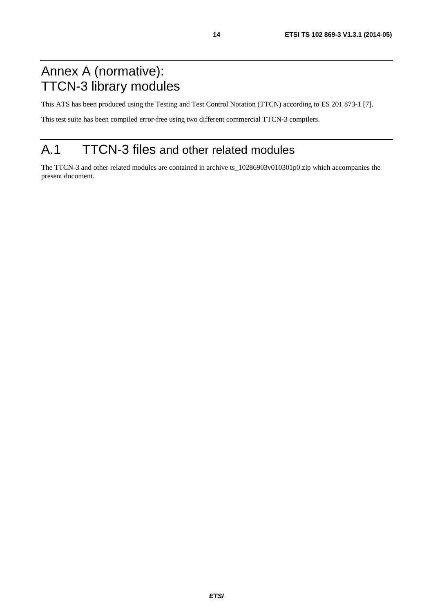# <span id="page-13-0"></span>Annex A (normative): TTCN-3 library modules

This ATS has been produced using the Testing and Test Control Notation (TTCN) according to ES 201 873-1 [[7\]](#page-5-0).

This test suite has been compiled error-free using two different commercial TTCN-3 compilers.

# A.1 TTCN-3 files and other related modules

The TTCN-3 and other related modules are contained in archive ts\_10286903v010301p0.zip which accompanies the present document.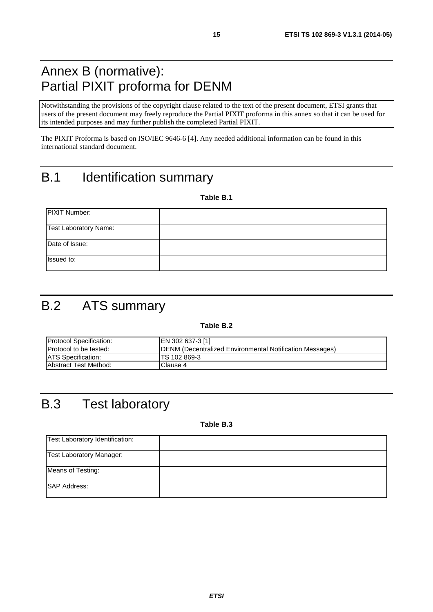# <span id="page-14-0"></span>Annex B (normative): Partial PIXIT proforma for DENM

Notwithstanding the provisions of the copyright clause related to the text of the present document, ETSI grants that users of the present document may freely reproduce the Partial PIXIT proforma in this annex so that it can be used for its intended purposes and may further publish the completed Partial PIXIT.

The PIXIT Proforma is based on ISO/IEC 9646-6 [[4\]](#page-5-0). Any needed additional information can be found in this international standard document.

# B.1 Identification summary

**Table B.1** 

| PIXIT Number:                |  |
|------------------------------|--|
| <b>Test Laboratory Name:</b> |  |
| Date of Issue:               |  |
| Issued to:                   |  |

# B.2 ATS summary

#### **Table B.2**

| <b>Protocol Specification:</b> | EN 302 637-3 [1]                                                 |
|--------------------------------|------------------------------------------------------------------|
| Protocol to be tested:         | <b>IDENM (Decentralized Environmental Notification Messages)</b> |
| <b>ATS Specification:</b>      | ITS 102 869-3                                                    |
| <b>Abstract Test Method:</b>   | Clause 4                                                         |

# B.3 Test laboratory

**Table B.3** 

| Test Laboratory Identification: |  |
|---------------------------------|--|
| <b>Test Laboratory Manager:</b> |  |
| Means of Testing:               |  |
| <b>SAP Address:</b>             |  |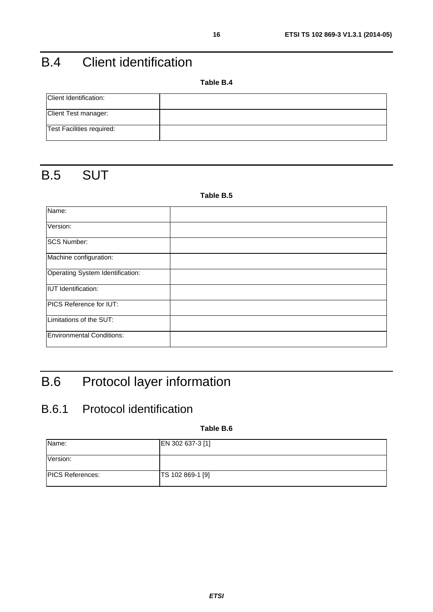# <span id="page-15-0"></span>B.4 Client identification

**Table B.4** 

| Client Identification:           |  |
|----------------------------------|--|
| Client Test manager:             |  |
| <b>Test Facilities required:</b> |  |

# B.5 SUT

#### **Table B.5**

| Name:                            |  |
|----------------------------------|--|
| Version:                         |  |
| <b>SCS Number:</b>               |  |
| Machine configuration:           |  |
| Operating System Identification: |  |
| <b>IUT</b> Identification:       |  |
| PICS Reference for IUT:          |  |
| Limitations of the SUT:          |  |
| <b>Environmental Conditions:</b> |  |

# B.6 Protocol layer information

### B.6.1 Protocol identification

**Table B.6** 

| Name:                   | EN 302 637-3 [1] |
|-------------------------|------------------|
| Version:                |                  |
| <b>PICS References:</b> | TS 102 869-1 [9] |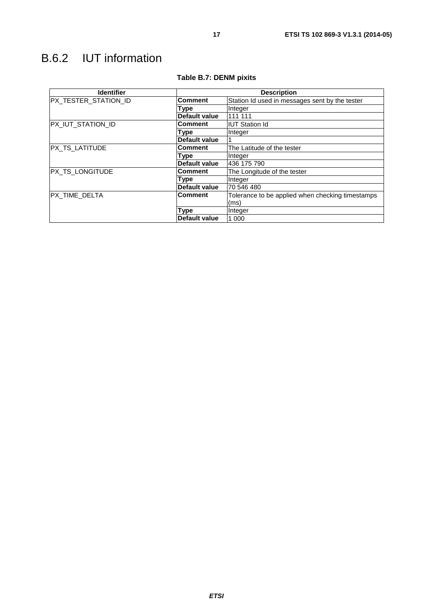# <span id="page-16-0"></span>B.6.2 IUT information

| <b>Identifier</b>    | <b>Description</b>   |                                                  |  |  |
|----------------------|----------------------|--------------------------------------------------|--|--|
| PX_TESTER_STATION_ID | <b>Comment</b>       | Station Id used in messages sent by the tester   |  |  |
|                      | Type                 | Integer                                          |  |  |
|                      | <b>Default value</b> | 111 111                                          |  |  |
| PX_IUT_STATION_ID    | Comment              | <b>IUT Station Id</b>                            |  |  |
|                      | Type                 | Integer                                          |  |  |
|                      | <b>Default value</b> |                                                  |  |  |
| PX_TS_LATITUDE       | <b>Comment</b>       | The Latitude of the tester                       |  |  |
|                      | Type                 | Integer                                          |  |  |
|                      | Default value        | 436 175 790                                      |  |  |
| PX_TS_LONGITUDE      | <b>Comment</b>       | The Longitude of the tester                      |  |  |
|                      | Type                 | Integer                                          |  |  |
|                      | Default value        | 70 546 480                                       |  |  |
| PX_TIME_DELTA        | <b>Comment</b>       | Tolerance to be applied when checking timestamps |  |  |
|                      |                      | (ms)                                             |  |  |
|                      | Type                 | Integer                                          |  |  |
|                      | Default value        | 1 0 0 0                                          |  |  |

#### **Table B.7: DENM pixits**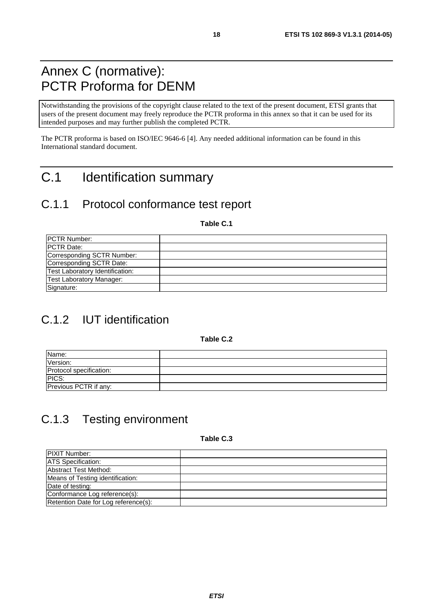# <span id="page-17-0"></span>Annex C (normative): PCTR Proforma for DENM

Notwithstanding the provisions of the copyright clause related to the text of the present document, ETSI grants that users of the present document may freely reproduce the PCTR proforma in this annex so that it can be used for its intended purposes and may further publish the completed PCTR.

The PCTR proforma is based on ISO/IEC 9646-6 [[4\]](#page-5-0). Any needed additional information can be found in this International standard document.

# C.1 Identification summary

### C.1.1 Protocol conformance test report

**Table C.1** 

| <b>IPCTR Number:</b>            |  |
|---------------------------------|--|
| <b>IPCTR Date:</b>              |  |
| Corresponding SCTR Number:      |  |
| Corresponding SCTR Date:        |  |
| Test Laboratory Identification: |  |
| <b>Test Laboratory Manager:</b> |  |
| Signature:                      |  |

# C.1.2 IUT identification

**Table C.2** 

| Name:                   |  |
|-------------------------|--|
| Version:                |  |
| Protocol specification: |  |
| PICS:                   |  |
| Previous PCTR if any:   |  |

# C.1.3 Testing environment

**Table C.3** 

| <b>PIXIT Number:</b>                 |  |
|--------------------------------------|--|
| <b>ATS</b> Specification:            |  |
| Abstract Test Method:                |  |
| Means of Testing identification:     |  |
| Date of testing:                     |  |
| Conformance Log reference(s):        |  |
| Retention Date for Log reference(s): |  |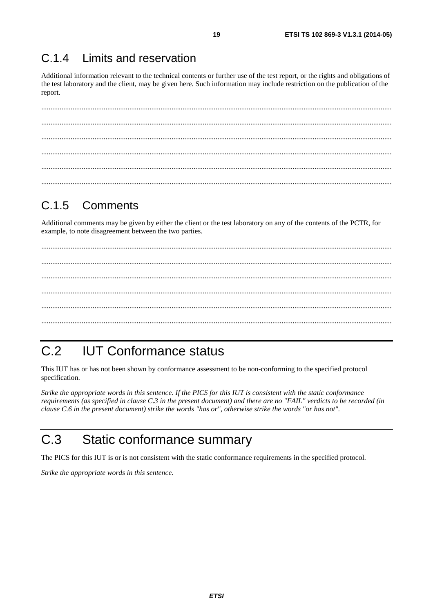#### <span id="page-18-0"></span> $C.14$ Limits and reservation

Additional information relevant to the technical contents or further use of the test report, or the rights and obligations of the test laboratory and the client, may be given here. Such information may include restriction on the publication of the report.

#### $C.1.5$ Comments

Additional comments may be given by either the client or the test laboratory on any of the contents of the PCTR, for example, to note disagreement between the two parties.

#### $C.2$ **IUT Conformance status**

This IUT has or has not been shown by conformance assessment to be non-conforming to the specified protocol specification.

Strike the appropriate words in this sentence. If the PICS for this IUT is consistent with the static conformance requirements (as specified in clause C.3 in the present document) and there are no "FAIL" verdicts to be recorded (in clause C.6 in the present document) strike the words "has or", otherwise strike the words "or has not".

#### $C.3$ Static conformance summary

The PICS for this IUT is or is not consistent with the static conformance requirements in the specified protocol.

Strike the appropriate words in this sentence.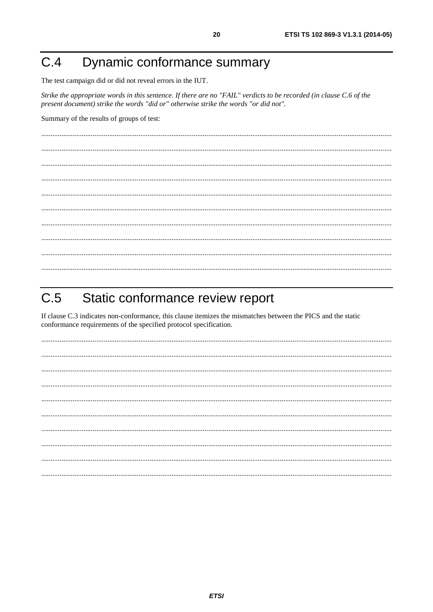#### <span id="page-19-0"></span>Dynamic conformance summary  $C.4$

The test campaign did or did not reveal errors in the IUT.

Strike the appropriate words in this sentence. If there are no "FAIL" verdicts to be recorded (in clause C.6 of the present document) strike the words "did or" otherwise strike the words "or did not".

Summary of the results of groups of test:

#### $C.5$ Static conformance review report

If clause C.3 indicates non-conformance, this clause itemizes the mismatches between the PICS and the static conformance requirements of the specified protocol specification.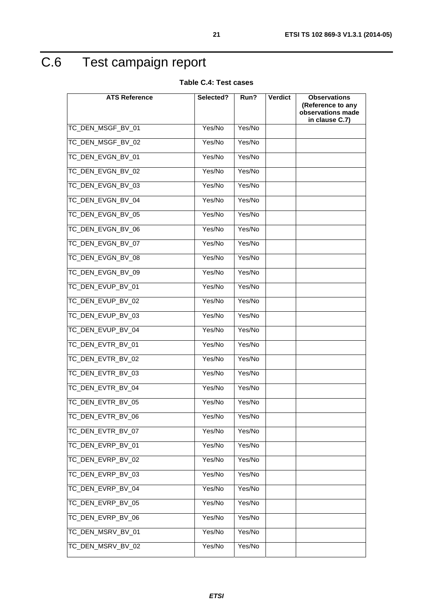# <span id="page-20-0"></span>C.6 Test campaign report

**Table C.4: Test cases** 

| <b>ATS Reference</b> | Selected? | Run?   | <b>Verdict</b> | <b>Observations</b>                    |
|----------------------|-----------|--------|----------------|----------------------------------------|
|                      |           |        |                | (Reference to any<br>observations made |
|                      |           |        |                | in clause C.7)                         |
| TC_DEN_MSGF_BV_01    | Yes/No    | Yes/No |                |                                        |
| TC_DEN_MSGF_BV_02    | Yes/No    | Yes/No |                |                                        |
| TC_DEN_EVGN_BV_01    | Yes/No    | Yes/No |                |                                        |
| TC_DEN_EVGN_BV_02    | Yes/No    | Yes/No |                |                                        |
| TC_DEN_EVGN_BV_03    | Yes/No    | Yes/No |                |                                        |
| TC_DEN_EVGN_BV_04    | Yes/No    | Yes/No |                |                                        |
| TC_DEN_EVGN_BV_05    | Yes/No    | Yes/No |                |                                        |
| TC_DEN_EVGN_BV_06    | Yes/No    | Yes/No |                |                                        |
| TC_DEN_EVGN_BV_07    | Yes/No    | Yes/No |                |                                        |
| TC DEN EVGN BV 08    | Yes/No    | Yes/No |                |                                        |
| TC_DEN_EVGN_BV_09    | Yes/No    | Yes/No |                |                                        |
| TC_DEN_EVUP_BV_01    | Yes/No    | Yes/No |                |                                        |
| TC_DEN_EVUP_BV_02    | Yes/No    | Yes/No |                |                                        |
| TC_DEN_EVUP_BV_03    | Yes/No    | Yes/No |                |                                        |
| TC_DEN_EVUP_BV_04    | Yes/No    | Yes/No |                |                                        |
| TC_DEN_EVTR_BV_01    | Yes/No    | Yes/No |                |                                        |
| TC_DEN_EVTR_BV_02    | Yes/No    | Yes/No |                |                                        |
| TC_DEN_EVTR_BV_03    | Yes/No    | Yes/No |                |                                        |
| TC_DEN_EVTR_BV_04    | Yes/No    | Yes/No |                |                                        |
| TC_DEN_EVTR_BV_05    | Yes/No    | Yes/No |                |                                        |
| TC_DEN_EVTR_BV_06    | Yes/No    | Yes/No |                |                                        |
| TC DEN EVTR BV 07    | Yes/No    | Yes/No |                |                                        |
| TC_DEN_EVRP_BV_01    | Yes/No    | Yes/No |                |                                        |
| TC DEN EVRP BV 02    | Yes/No    | Yes/No |                |                                        |
| TC DEN EVRP BV 03    | Yes/No    | Yes/No |                |                                        |
| TC_DEN_EVRP_BV_04    | Yes/No    | Yes/No |                |                                        |
| TC_DEN_EVRP_BV_05    | Yes/No    | Yes/No |                |                                        |
| TC_DEN_EVRP_BV_06    | Yes/No    | Yes/No |                |                                        |
| TC_DEN_MSRV_BV_01    | Yes/No    | Yes/No |                |                                        |
| TC_DEN_MSRV_BV_02    | Yes/No    | Yes/No |                |                                        |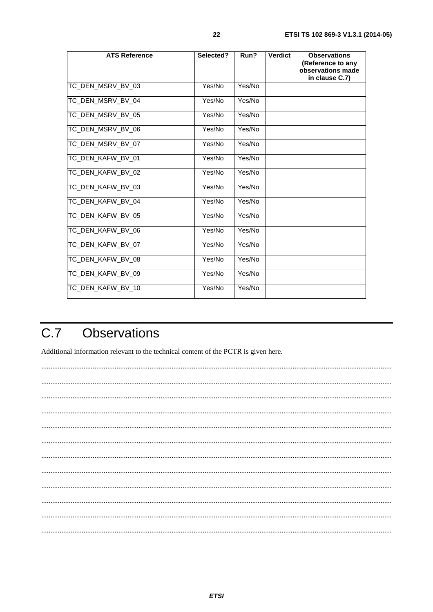<span id="page-21-0"></span>

| <b>ATS Reference</b> | Selected? | Run?   | <b>Verdict</b> | <b>Observations</b><br>(Reference to any<br>observations made<br>in clause C.7) |
|----------------------|-----------|--------|----------------|---------------------------------------------------------------------------------|
| TC_DEN_MSRV_BV_03    | Yes/No    | Yes/No |                |                                                                                 |
| TC_DEN_MSRV_BV_04    | Yes/No    | Yes/No |                |                                                                                 |
| TC_DEN_MSRV_BV_05    | Yes/No    | Yes/No |                |                                                                                 |
| TC_DEN_MSRV_BV_06    | Yes/No    | Yes/No |                |                                                                                 |
| TC_DEN_MSRV_BV_07    | Yes/No    | Yes/No |                |                                                                                 |
| TC_DEN_KAFW_BV_01    | Yes/No    | Yes/No |                |                                                                                 |
| TC_DEN_KAFW_BV_02    | Yes/No    | Yes/No |                |                                                                                 |
| TC_DEN_KAFW_BV_03    | Yes/No    | Yes/No |                |                                                                                 |
| TC_DEN_KAFW_BV_04    | Yes/No    | Yes/No |                |                                                                                 |
| TC DEN KAFW BV 05    | Yes/No    | Yes/No |                |                                                                                 |
| TC_DEN_KAFW_BV_06    | Yes/No    | Yes/No |                |                                                                                 |
| TC_DEN_KAFW_BV_07    | Yes/No    | Yes/No |                |                                                                                 |
| TC_DEN_KAFW_BV_08    | Yes/No    | Yes/No |                |                                                                                 |
| TC DEN KAFW BV 09    | Yes/No    | Yes/No |                |                                                                                 |
| TC_DEN_KAFW_BV_10    | Yes/No    | Yes/No |                |                                                                                 |

#### $\overline{C.7}$ **Observations**

Additional information relevant to the technical content of the PCTR is given here.